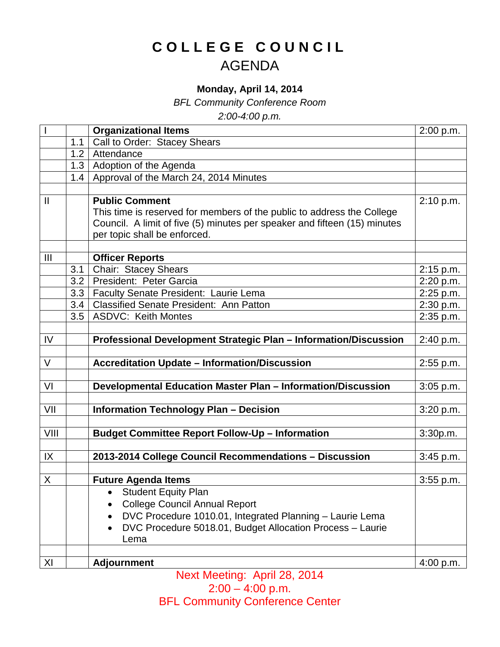## **COLLEGE COUNCIL** AGENDA

## **Monday, April 14, 2014**

*BFL Community Conference Room*

*2:00-4:00 p.m.*

|                |     | <b>Organizational Items</b>                                               | 2:00 p.m.   |
|----------------|-----|---------------------------------------------------------------------------|-------------|
|                | 1.1 | Call to Order: Stacey Shears                                              |             |
|                | 1.2 | Attendance                                                                |             |
|                | 1.3 | Adoption of the Agenda                                                    |             |
|                | 1.4 | Approval of the March 24, 2014 Minutes                                    |             |
|                |     |                                                                           |             |
| $\mathbf{I}$   |     | <b>Public Comment</b>                                                     | 2:10 p.m.   |
|                |     | This time is reserved for members of the public to address the College    |             |
|                |     | Council. A limit of five (5) minutes per speaker and fifteen (15) minutes |             |
|                |     | per topic shall be enforced.                                              |             |
|                |     |                                                                           |             |
| $\mathbf{III}$ |     | <b>Officer Reports</b>                                                    |             |
|                | 3.1 | Chair: Stacey Shears                                                      | 2:15 p.m.   |
|                | 3.2 | President: Peter Garcia                                                   | 2:20 p.m.   |
|                | 3.3 | Faculty Senate President: Laurie Lema                                     | 2:25 p.m.   |
|                | 3.4 | <b>Classified Senate President: Ann Patton</b>                            | 2:30 p.m.   |
|                | 3.5 | <b>ASDVC: Keith Montes</b>                                                | 2:35 p.m.   |
|                |     |                                                                           |             |
| IV             |     | Professional Development Strategic Plan - Information/Discussion          | 2:40 p.m.   |
| $\vee$         |     | <b>Accreditation Update - Information/Discussion</b>                      |             |
|                |     |                                                                           | 2:55 p.m.   |
| VI             |     | Developmental Education Master Plan - Information/Discussion              | $3:05$ p.m. |
|                |     |                                                                           |             |
| VII            |     | <b>Information Technology Plan - Decision</b>                             | 3:20 p.m.   |
|                |     |                                                                           |             |
| VIII           |     | <b>Budget Committee Report Follow-Up - Information</b>                    | 3:30p.m.    |
|                |     |                                                                           |             |
| IX             |     | 2013-2014 College Council Recommendations - Discussion                    | 3:45 p.m.   |
|                |     |                                                                           |             |
| X              |     | <b>Future Agenda Items</b>                                                | $3:55$ p.m. |
|                |     | <b>Student Equity Plan</b>                                                |             |
|                |     | <b>College Council Annual Report</b>                                      |             |
|                |     | DVC Procedure 1010.01, Integrated Planning - Laurie Lema                  |             |
|                |     | DVC Procedure 5018.01, Budget Allocation Process - Laurie                 |             |
|                |     | Lema                                                                      |             |
|                |     |                                                                           |             |
| XI             |     | <b>Adjournment</b>                                                        | 4:00 p.m.   |

Next Meeting: April 28, 2014 2:00 – 4:00 p.m. BFL Community Conference Center